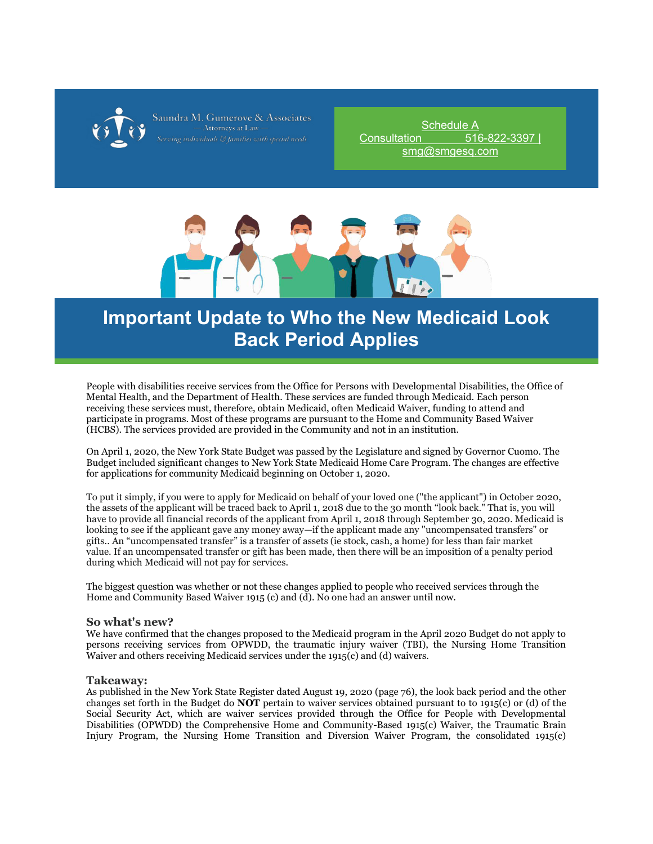

saundra M. Gumerove &

[Schedule A](http://r20.rs6.net/tn.jsp?f=001yLcuRG5nBDlgCZjtE66g3FeND7UCb21obxxyAhYEjyE0LbsT-8kHRyCQoalO_y3B_frzy2r6AW1M4sT4bU1RkD8UPo4MvKFBQA-T2eU6FERJ0sOhUZ_F3MmVZKzUCdNobB6omeBeOYGOejJ_8ewRkYCU5Jc1IUQ4&c=8pia7-kZknffotGzOqLJejcr5mTJwxNpLNGcbuZ3H4UOA55kklRVMA==&ch=eZHpjaADT9wgXmA-DYTGZFy-jIezrNRGcdzmjJ0CsTOtxhNNt_tfZw==)  [Consultation 516-822-3397 |](http://r20.rs6.net/tn.jsp?f=001yLcuRG5nBDlgCZjtE66g3FeND7UCb21obxxyAhYEjyE0LbsT-8kHRyCQoalO_y3B_frzy2r6AW1M4sT4bU1RkD8UPo4MvKFBQA-T2eU6FERJ0sOhUZ_F3MmVZKzUCdNobB6omeBeOYGOejJ_8ewRkYCU5Jc1IUQ4&c=8pia7-kZknffotGzOqLJejcr5mTJwxNpLNGcbuZ3H4UOA55kklRVMA==&ch=eZHpjaADT9wgXmA-DYTGZFy-jIezrNRGcdzmjJ0CsTOtxhNNt_tfZw==)  [smg@smgesq.com](http://r20.rs6.net/tn.jsp?f=001yLcuRG5nBDlgCZjtE66g3FeND7UCb21obxxyAhYEjyE0LbsT-8kHRyCQoalO_y3B_frzy2r6AW1M4sT4bU1RkD8UPo4MvKFBQA-T2eU6FERJ0sOhUZ_F3MmVZKzUCdNobB6omeBeOYGOejJ_8ewRkYCU5Jc1IUQ4&c=8pia7-kZknffotGzOqLJejcr5mTJwxNpLNGcbuZ3H4UOA55kklRVMA==&ch=eZHpjaADT9wgXmA-DYTGZFy-jIezrNRGcdzmjJ0CsTOtxhNNt_tfZw==)



## **Important Update to Who the New Medicaid Look Back Period Applies**

People with disabilities receive services from the Office for Persons with Developmental Disabilities, the Office of Mental Health, and the Department of Health. These services are funded through Medicaid. Each person receiving these services must, therefore, obtain Medicaid, often Medicaid Waiver, funding to attend and participate in programs. Most of these programs are pursuant to the Home and Community Based Waiver (HCBS). The services provided are provided in the Community and not in an institution.

On April 1, 2020, the New York State Budget was passed by the Legislature and signed by Governor Cuomo. The Budget included significant changes to New York State Medicaid Home Care Program. The changes are effective for applications for community Medicaid beginning on October 1, 2020.

To put it simply, if you were to apply for Medicaid on behalf of your loved one ("the applicant") in October 2020, the assets of the applicant will be traced back to April 1, 2018 due to the 30 month "look back." That is, you will have to provide all financial records of the applicant from April 1, 2018 through September 30, 2020. Medicaid is looking to see if the applicant gave any money away—if the applicant made any "uncompensated transfers" or gifts.. An "uncompensated transfer" is a transfer of assets (ie stock, cash, a home) for less than fair market value. If an uncompensated transfer or gift has been made, then there will be an imposition of a penalty period during which Medicaid will not pay for services.

The biggest question was whether or not these changes applied to people who received services through the Home and Community Based Waiver 1915 (c) and (d). No one had an answer until now.

## **So what's new?**

We have confirmed that the changes proposed to the Medicaid program in the April 2020 Budget do not apply to persons receiving services from OPWDD, the traumatic injury waiver (TBI), the Nursing Home Transition Waiver and others receiving Medicaid services under the 1915(c) and (d) waivers.

## **Takeaway:**

As published in the New York State Register dated August 19, 2020 (page 76), the look back period and the other changes set forth in the Budget do **NOT** pertain to waiver services obtained pursuant to to 1915(c) or (d) of the Social Security Act, which are waiver services provided through the Office for People with Developmental Disabilities (OPWDD) the Comprehensive Home and Community-Based 1915(c) Waiver, the Traumatic Brain Injury Program, the Nursing Home Transition and Diversion Waiver Program, the consolidated 1915(c)